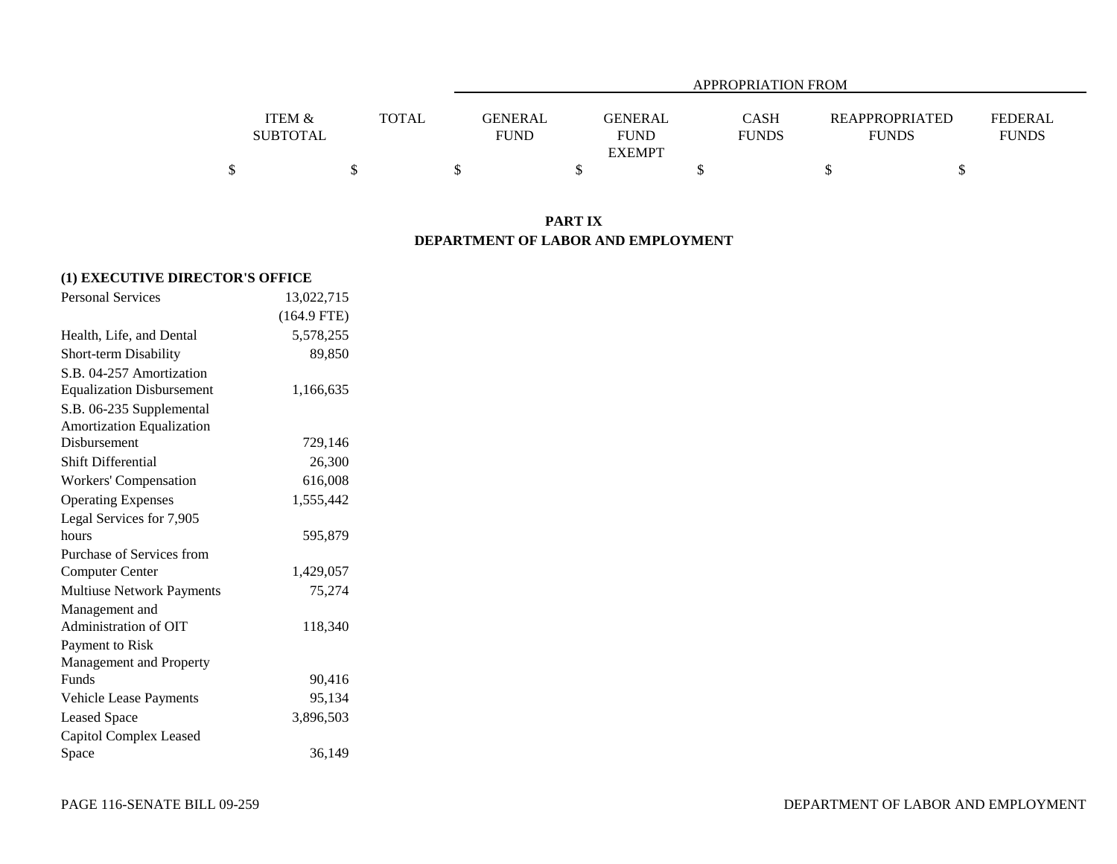|                 |              |             | APPROPRIATION FROM |              |                |                |  |  |  |  |
|-----------------|--------------|-------------|--------------------|--------------|----------------|----------------|--|--|--|--|
| ITEM &          | <b>TOTAL</b> | GENERAL     | GENERAL            | CASH         | REAPPROPRIATED | <b>FEDERAL</b> |  |  |  |  |
| <b>SUBTOTAL</b> |              | <b>FUND</b> | <b>FUND</b>        | <b>FUNDS</b> | <b>FUNDS</b>   | <b>FUNDS</b>   |  |  |  |  |
|                 |              |             | <b>EXEMPT</b>      |              |                |                |  |  |  |  |
|                 |              |             |                    |              |                |                |  |  |  |  |

# **PART IX DEPARTMENT OF LABOR AND EMPLOYMENT**

| (1) EXECUTIVE DIRECTOR'S OFFICE  |               |  |
|----------------------------------|---------------|--|
| <b>Personal Services</b>         | 13,022,715    |  |
|                                  | $(164.9$ FTE) |  |
| Health, Life, and Dental         | 5,578,255     |  |
| <b>Short-term Disability</b>     | 89,850        |  |
| S.B. 04-257 Amortization         |               |  |
| <b>Equalization Disbursement</b> | 1,166,635     |  |
| S.B. 06-235 Supplemental         |               |  |
| Amortization Equalization        |               |  |
| Disbursement                     | 729,146       |  |
| Shift Differential               | 26,300        |  |
| Workers' Compensation            | 616,008       |  |
| <b>Operating Expenses</b>        | 1,555,442     |  |
| Legal Services for 7,905         |               |  |
| hours                            | 595,879       |  |
| Purchase of Services from        |               |  |
| <b>Computer Center</b>           | 1,429,057     |  |
| Multiuse Network Payments        | 75,274        |  |
| Management and                   |               |  |
| Administration of OIT            | 118,340       |  |
| Payment to Risk                  |               |  |
| Management and Property          |               |  |
| <b>Funds</b>                     | 90,416        |  |
| Vehicle Lease Payments           | 95,134        |  |
| <b>Leased Space</b>              | 3,896,503     |  |
| Capitol Complex Leased           |               |  |
| Space                            | 36,149        |  |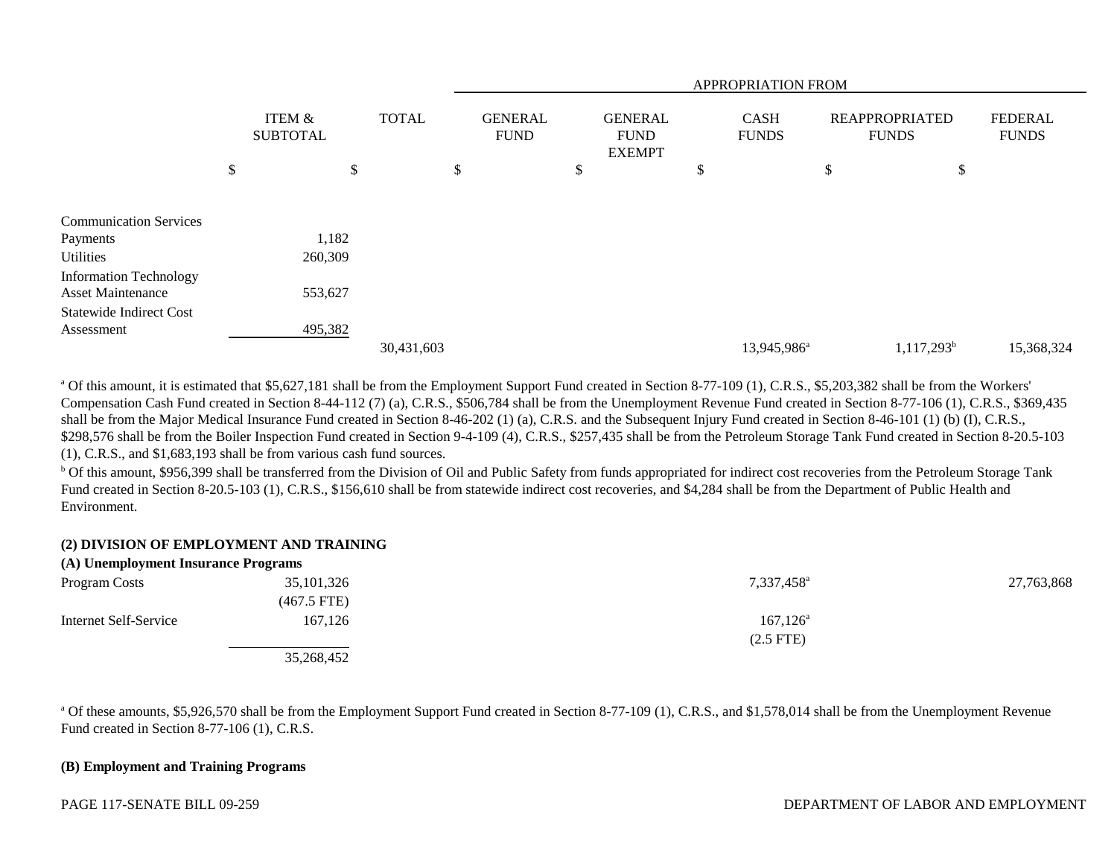|                                                           |                                                      |            | APPROPRIATION FROM            |  |                                                |  |                             |                         |                                |                                |            |
|-----------------------------------------------------------|------------------------------------------------------|------------|-------------------------------|--|------------------------------------------------|--|-----------------------------|-------------------------|--------------------------------|--------------------------------|------------|
|                                                           | <b>ITEM &amp;</b><br><b>TOTAL</b><br><b>SUBTOTAL</b> |            | <b>GENERAL</b><br><b>FUND</b> |  | <b>GENERAL</b><br><b>FUND</b><br><b>EXEMPT</b> |  | <b>CASH</b><br><b>FUNDS</b> |                         | REAPPROPRIATED<br><b>FUNDS</b> | <b>FEDERAL</b><br><b>FUNDS</b> |            |
|                                                           | \$<br>\$                                             |            | \$                            |  | Φ                                              |  | \$                          |                         | \$                             | \$                             |            |
| <b>Communication Services</b>                             |                                                      |            |                               |  |                                                |  |                             |                         |                                |                                |            |
| Payments                                                  | 1,182                                                |            |                               |  |                                                |  |                             |                         |                                |                                |            |
| Utilities                                                 | 260,309                                              |            |                               |  |                                                |  |                             |                         |                                |                                |            |
| <b>Information Technology</b><br><b>Asset Maintenance</b> | 553,627                                              |            |                               |  |                                                |  |                             |                         |                                |                                |            |
| <b>Statewide Indirect Cost</b>                            |                                                      |            |                               |  |                                                |  |                             |                         |                                |                                |            |
| Assessment                                                | 495,382                                              |            |                               |  |                                                |  |                             |                         |                                |                                |            |
|                                                           |                                                      | 30,431,603 |                               |  |                                                |  |                             | 13,945,986 <sup>a</sup> |                                | $1,117,293^b$                  | 15,368,324 |

<sup>a</sup> Of this amount, it is estimated that \$5,627,181 shall be from the Employment Support Fund created in Section 8-77-109 (1), C.R.S., \$5,203,382 shall be from the Workers' Compensation Cash Fund created in Section 8-44-112 (7) (a), C.R.S., \$506,784 shall be from the Unemployment Revenue Fund created in Section 8-77-106 (1), C.R.S., \$369,435 shall be from the Major Medical Insurance Fund created in Section 8-46-202 (1) (a), C.R.S. and the Subsequent Injury Fund created in Section 8-46-101 (1) (b) (I), C.R.S., \$298,576 shall be from the Boiler Inspection Fund created in Section 9-4-109 (4), C.R.S., \$257,435 shall be from the Petroleum Storage Tank Fund created in Section 8-20.5-103 (1), C.R.S., and \$1,683,193 shall be from various cash fund sources.

<sup>b</sup> Of this amount, \$956,399 shall be transferred from the Division of Oil and Public Safety from funds appropriated for indirect cost recoveries from the Petroleum Storage Tank Fund created in Section 8-20.5-103 (1), C.R.S., \$156,610 shall be from statewide indirect cost recoveries, and \$4,284 shall be from the Department of Public Health and Environment.

### **(2) DIVISION OF EMPLOYMENT AND TRAINING**

| (A) Unemployment Insurance Programs |               |                        |            |
|-------------------------------------|---------------|------------------------|------------|
| Program Costs                       | 35, 101, 326  | 7,337,458 <sup>a</sup> | 27,763,868 |
|                                     | $(467.5$ FTE) |                        |            |
| Internet Self-Service               | 167.126       | $167, 126^{\circ}$     |            |
|                                     |               | $(2.5$ FTE $)$         |            |
|                                     | 35,268,452    |                        |            |

<sup>a</sup> Of these amounts, \$5,926,570 shall be from the Employment Support Fund created in Section 8-77-109 (1), C.R.S., and \$1,578,014 shall be from the Unemployment Revenue Fund created in Section 8-77-106 (1), C.R.S.

#### **(B) Employment and Training Programs**

PAGE 117-SENATE BILL 09-259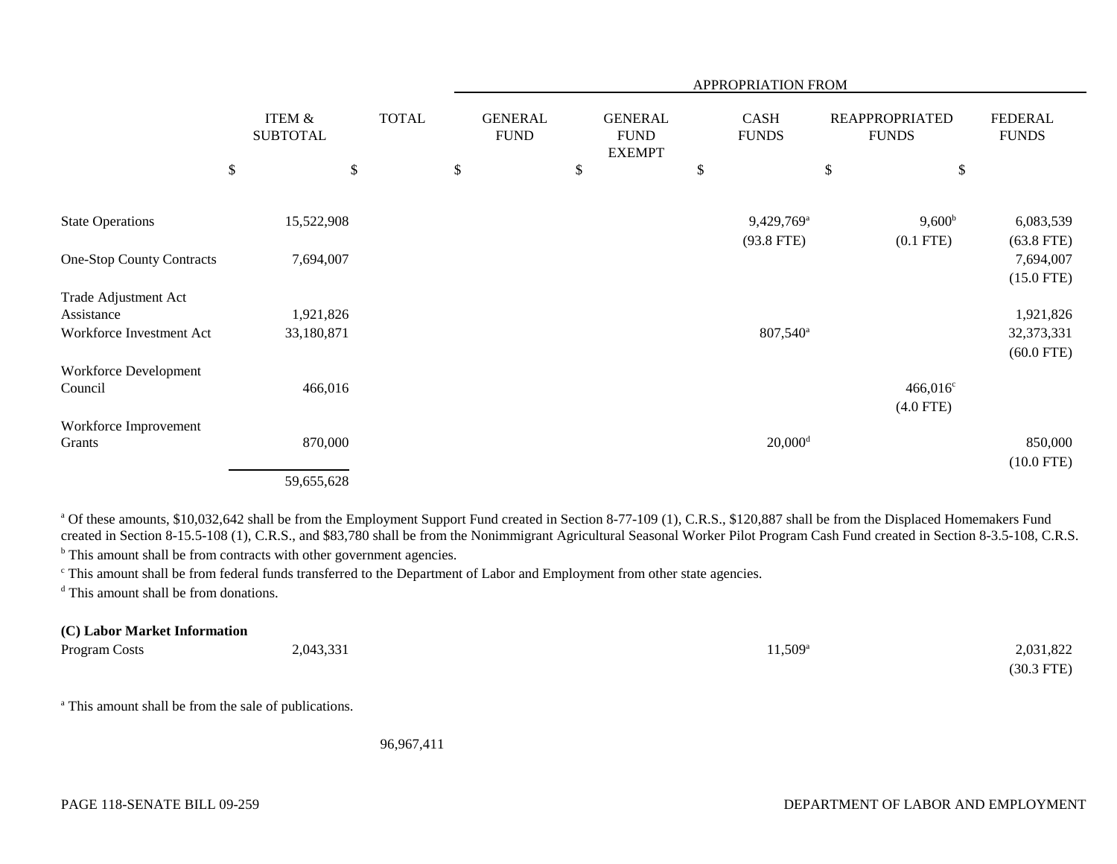|                                    |                                      |              |                               |                                                | APPROPRIATION FROM     |                                       |                                |
|------------------------------------|--------------------------------------|--------------|-------------------------------|------------------------------------------------|------------------------|---------------------------------------|--------------------------------|
|                                    | <b>ITEM &amp;</b><br><b>SUBTOTAL</b> | <b>TOTAL</b> | <b>GENERAL</b><br><b>FUND</b> | <b>GENERAL</b><br><b>FUND</b><br><b>EXEMPT</b> | CASH<br><b>FUNDS</b>   | <b>REAPPROPRIATED</b><br><b>FUNDS</b> | <b>FEDERAL</b><br><b>FUNDS</b> |
|                                    | \$                                   | \$           | \$                            | \$                                             | \$                     | \$<br>\$                              |                                |
| <b>State Operations</b>            | 15,522,908                           |              |                               |                                                | 9,429,769 <sup>a</sup> | $9,600^{\rm b}$                       | 6,083,539                      |
|                                    |                                      |              |                               |                                                | $(93.8$ FTE)           | $(0.1$ FTE)                           | $(63.8$ FTE)                   |
| <b>One-Stop County Contracts</b>   | 7,694,007                            |              |                               |                                                |                        |                                       | 7,694,007                      |
|                                    |                                      |              |                               |                                                |                        |                                       | $(15.0$ FTE)                   |
| Trade Adjustment Act<br>Assistance | 1,921,826                            |              |                               |                                                |                        |                                       | 1,921,826                      |
| Workforce Investment Act           | 33,180,871                           |              |                               |                                                | $807,540^{\circ}$      |                                       | 32,373,331                     |
|                                    |                                      |              |                               |                                                |                        |                                       | $(60.0$ FTE)                   |
| Workforce Development              |                                      |              |                               |                                                |                        |                                       |                                |
| Council                            | 466,016                              |              |                               |                                                |                        | $466,016^{\circ}$                     |                                |
|                                    |                                      |              |                               |                                                |                        | $(4.0$ FTE)                           |                                |
| Workforce Improvement              |                                      |              |                               |                                                |                        |                                       |                                |
| Grants                             | 870,000                              |              |                               |                                                | $20,000$ <sup>d</sup>  |                                       | 850,000                        |
|                                    |                                      |              |                               |                                                |                        |                                       | $(10.0$ FTE)                   |
|                                    | 59,655,628                           |              |                               |                                                |                        |                                       |                                |

<sup>a</sup> Of these amounts, \$10,032,642 shall be from the Employment Support Fund created in Section 8-77-109 (1), C.R.S., \$120,887 shall be from the Displaced Homemakers Fund created in Section 8-15.5-108 (1), C.R.S., and \$83,780 shall be from the Nonimmigrant Agricultural Seasonal Worker Pilot Program Cash Fund created in Section 8-3.5-108, C.R.S.

<sup>b</sup> This amount shall be from contracts with other government agencies.

c This amount shall be from federal funds transferred to the Department of Labor and Employment from other state agencies.

<sup>d</sup> This amount shall be from donations.

# **(C) Labor Market Information**

| Program Costs | 2,043,331 | $11,509^{\circ}$ | 2,031,822    |
|---------------|-----------|------------------|--------------|
|               |           |                  | $(30.3$ FTE) |

<sup>a</sup> This amount shall be from the sale of publications.

96,967,411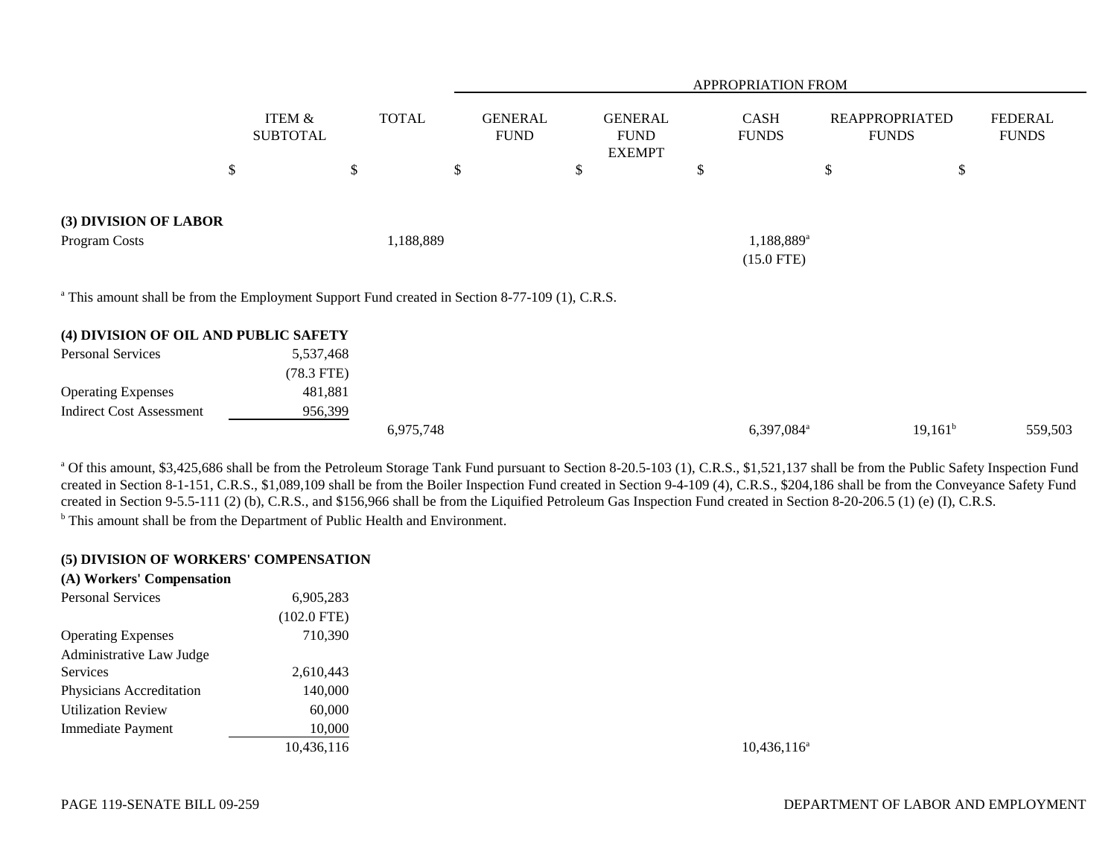|                                                                                                            |                                      |              |                               |                                                | <b>APPROPRIATION FROM</b>              |                                       |                                |
|------------------------------------------------------------------------------------------------------------|--------------------------------------|--------------|-------------------------------|------------------------------------------------|----------------------------------------|---------------------------------------|--------------------------------|
|                                                                                                            | <b>ITEM &amp;</b><br><b>SUBTOTAL</b> | <b>TOTAL</b> | <b>GENERAL</b><br><b>FUND</b> | <b>GENERAL</b><br><b>FUND</b><br><b>EXEMPT</b> | <b>CASH</b><br><b>FUNDS</b>            | <b>REAPPROPRIATED</b><br><b>FUNDS</b> | <b>FEDERAL</b><br><b>FUNDS</b> |
|                                                                                                            | $\$$                                 | \$           | \$                            | \$                                             | \$                                     | \$<br>\$                              |                                |
| (3) DIVISION OF LABOR<br>Program Costs                                                                     |                                      | 1,188,889    |                               |                                                | 1,188,889 <sup>a</sup><br>$(15.0$ FTE) |                                       |                                |
| <sup>a</sup> This amount shall be from the Employment Support Fund created in Section 8-77-109 (1), C.R.S. |                                      |              |                               |                                                |                                        |                                       |                                |
| (4) DIVISION OF OIL AND PUBLIC SAFETY                                                                      |                                      |              |                               |                                                |                                        |                                       |                                |
| <b>Personal Services</b>                                                                                   | 5,537,468<br>$(78.3$ FTE)            |              |                               |                                                |                                        |                                       |                                |
| <b>Operating Expenses</b>                                                                                  | 481,881                              |              |                               |                                                |                                        |                                       |                                |
| <b>Indirect Cost Assessment</b>                                                                            | 956,399                              |              |                               |                                                |                                        |                                       |                                |
|                                                                                                            |                                      | 6,975,748    |                               |                                                | 6,397,084 <sup>a</sup>                 | $19,161^b$                            | 559,503                        |

<sup>a</sup> Of this amount, \$3,425,686 shall be from the Petroleum Storage Tank Fund pursuant to Section 8-20.5-103 (1), C.R.S., \$1,521,137 shall be from the Public Safety Inspection Fund created in Section 8-1-151, C.R.S., \$1,089,109 shall be from the Boiler Inspection Fund created in Section 9-4-109 (4), C.R.S., \$204,186 shall be from the Conveyance Safety Fund created in Section 9-5.5-111 (2) (b), C.R.S., and \$156,966 shall be from the Liquified Petroleum Gas Inspection Fund created in Section 8-20-206.5 (1) (e) (I), C.R.S. **b** This amount shall be from the Department of Public Health and Environment.

### **(5) DIVISION OF WORKERS' COMPENSATION**

| (A) Workers' Compensation |               |
|---------------------------|---------------|
| <b>Personal Services</b>  | 6,905,283     |
|                           | $(102.0$ FTE) |
| <b>Operating Expenses</b> | 710,390       |
| Administrative Law Judge  |               |
| <b>Services</b>           | 2,610,443     |
| Physicians Accreditation  | 140,000       |
| <b>Utilization Review</b> | 60,000        |
| Immediate Payment         | 10,000        |
|                           | 10,436,116    |
|                           |               |

 $10,436,116^a$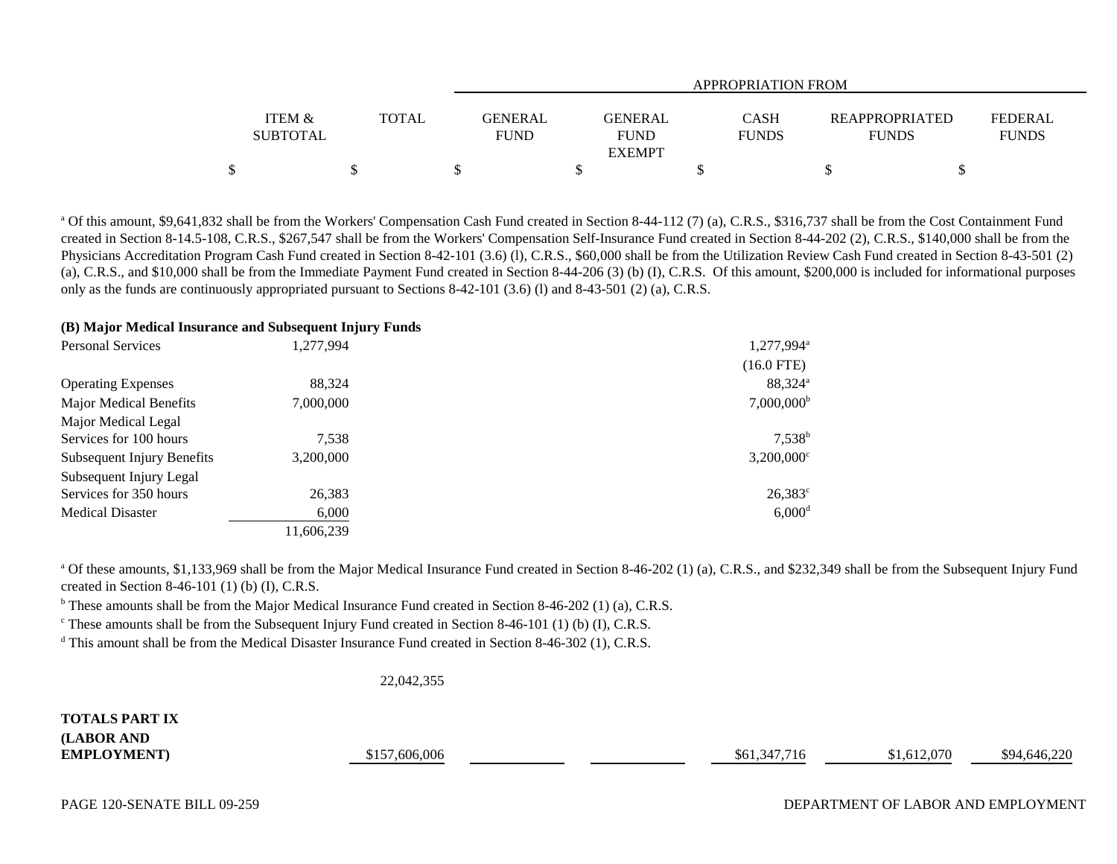|                   |              | <b>APPROPRIATION FROM</b>        |              |  |                                  |  |  |  |  |
|-------------------|--------------|----------------------------------|--------------|--|----------------------------------|--|--|--|--|
|                   |              |                                  |              |  |                                  |  |  |  |  |
| <b>ITEM &amp;</b> | <b>TOTAL</b> | <b>GENERAL</b><br><b>GENERAL</b> | CASH         |  | FEDERAL<br><b>REAPPROPRIATED</b> |  |  |  |  |
| <b>SUBTOTAL</b>   |              | <b>FUND</b><br><b>FUND</b>       | <b>FUNDS</b> |  | <b>FUNDS</b><br><b>FUNDS</b>     |  |  |  |  |
|                   |              | <b>EXEMPT</b>                    |              |  |                                  |  |  |  |  |
|                   |              |                                  |              |  |                                  |  |  |  |  |

<sup>a</sup> Of this amount, \$9,641,832 shall be from the Workers' Compensation Cash Fund created in Section 8-44-112 (7) (a), C.R.S., \$316,737 shall be from the Cost Containment Fund created in Section 8-14.5-108, C.R.S., \$267,547 shall be from the Workers' Compensation Self-Insurance Fund created in Section 8-44-202 (2), C.R.S., \$140,000 shall be from the Physicians Accreditation Program Cash Fund created in Section 8-42-101 (3.6) (l), C.R.S., \$60,000 shall be from the Utilization Review Cash Fund created in Section 8-43-501 (2) (a), C.R.S., and \$10,000 shall be from the Immediate Payment Fund created in Section 8-44-206 (3) (b) (I), C.R.S. Of this amount, \$200,000 is included for informational purposes only as the funds are continuously appropriated pursuant to Sections 8-42-101 (3.6) (l) and 8-43-501 (2) (a), C.R.S.

## **(B) Major Medical Insurance and Subsequent Injury Funds**

| <b>Personal Services</b>          | 1,277,994  | $1,277,994$ <sup>a</sup> |
|-----------------------------------|------------|--------------------------|
|                                   |            | $(16.0$ FTE)             |
| <b>Operating Expenses</b>         | 88.324     | 88,324 <sup>a</sup>      |
| Major Medical Benefits            | 7,000,000  | $7,000,000^{\rm b}$      |
| Major Medical Legal               |            |                          |
| Services for 100 hours            | 7,538      | $7,538^b$                |
| <b>Subsequent Injury Benefits</b> | 3,200,000  | $3,200,000$ <sup>c</sup> |
| Subsequent Injury Legal           |            |                          |
| Services for 350 hours            | 26,383     | $26,383^{\circ}$         |
| <b>Medical Disaster</b>           | 6,000      | $6,000$ <sup>d</sup>     |
|                                   | 11,606,239 |                          |

<sup>a</sup> Of these amounts, \$1,133,969 shall be from the Major Medical Insurance Fund created in Section 8-46-202 (1) (a), C.R.S., and \$232,349 shall be from the Subsequent Injury Fund created in Section 8-46-101 (1) (b) (I), C.R.S.

<sup>b</sup> These amounts shall be from the Major Medical Insurance Fund created in Section 8-46-202 (1) (a), C.R.S.

 $\degree$  These amounts shall be from the Subsequent Injury Fund created in Section 8-46-101 (1) (b) (I), C.R.S.

<sup>d</sup> This amount shall be from the Medical Disaster Insurance Fund created in Section 8-46-302 (1), C.R.S.

22,042,355

**TOTALS PART IX(LABOR AND**

**EMPLOYMENT**) \$157,606,006 \$157,606,006 \$157,606,006 \$61,347,716 \$61,347,716 \$91,612,070 \$94,646,220